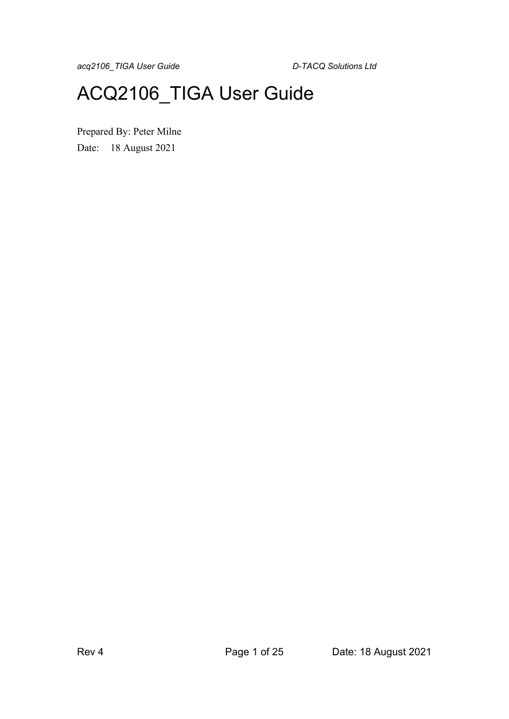# ACQ2106\_TIGA User Guide

Prepared By: Peter Milne Date: 18 August 2021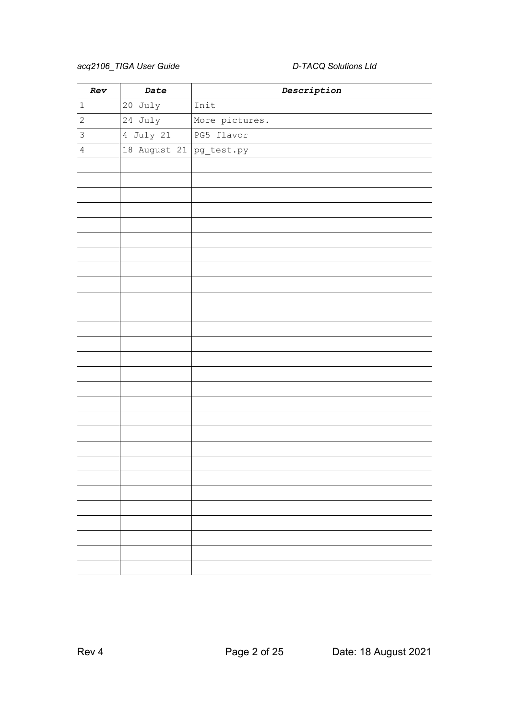| Rev          | Date                    | $\label{eq:2} {\small \textit{Description}}$ |
|--------------|-------------------------|----------------------------------------------|
| $\mathbf 1$  | 20 July                 | Init                                         |
| $\mathbf{2}$ | 24 July                 | More pictures.                               |
| 3            | 4 July 21               | PG5 flavor                                   |
| $\sqrt{4}$   | 18 August 21 pg_test.py |                                              |
|              |                         |                                              |
|              |                         |                                              |
|              |                         |                                              |
|              |                         |                                              |
|              |                         |                                              |
|              |                         |                                              |
|              |                         |                                              |
|              |                         |                                              |
|              |                         |                                              |
|              |                         |                                              |
|              |                         |                                              |
|              |                         |                                              |
|              |                         |                                              |
|              |                         |                                              |
|              |                         |                                              |
|              |                         |                                              |
|              |                         |                                              |
|              |                         |                                              |
|              |                         |                                              |
|              |                         |                                              |
|              |                         |                                              |
|              |                         |                                              |
|              |                         |                                              |
|              |                         |                                              |
|              |                         |                                              |
|              |                         |                                              |
|              |                         |                                              |
|              |                         |                                              |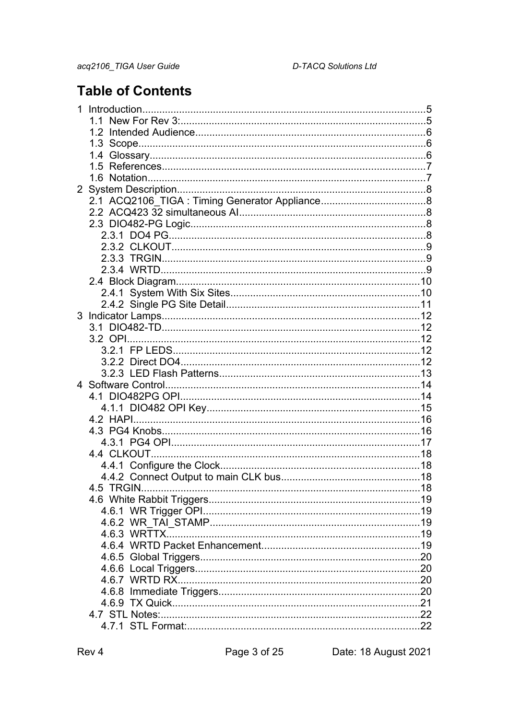# **Table of Contents**

| 1.4 |  |
|-----|--|
|     |  |
|     |  |
|     |  |
|     |  |
|     |  |
|     |  |
|     |  |
|     |  |
|     |  |
|     |  |
|     |  |
|     |  |
|     |  |
|     |  |
|     |  |
|     |  |
|     |  |
|     |  |
|     |  |
|     |  |
|     |  |
|     |  |
|     |  |
|     |  |
|     |  |
|     |  |
|     |  |
|     |  |
|     |  |
| 4.5 |  |
|     |  |
|     |  |
|     |  |
|     |  |
|     |  |
|     |  |
|     |  |
|     |  |
|     |  |
|     |  |
|     |  |
|     |  |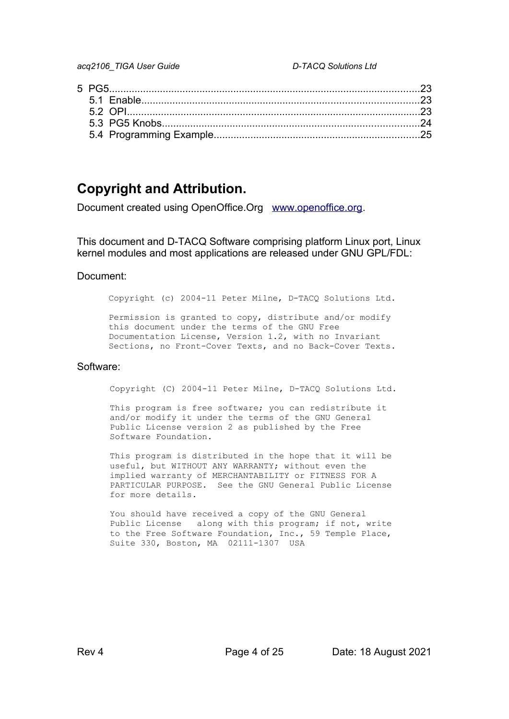# **Copyright and Attribution.**

Document created using OpenOffice.Org [www.openoffice.org](http://www.openoffice.org/).

This document and D-TACQ Software comprising platform Linux port, Linux kernel modules and most applications are released under GNU GPL/FDL:

#### Document:

Copyright (c) 2004-11 Peter Milne, D-TACQ Solutions Ltd.

Permission is granted to copy, distribute and/or modify this document under the terms of the GNU Free Documentation License, Version 1.2, with no Invariant Sections, no Front-Cover Texts, and no Back-Cover Texts.

#### Software:

Copyright (C) 2004-11 Peter Milne, D-TACQ Solutions Ltd.

This program is free software; you can redistribute it and/or modify it under the terms of the GNU General Public License version 2 as published by the Free Software Foundation.

This program is distributed in the hope that it will be useful, but WITHOUT ANY WARRANTY; without even the implied warranty of MERCHANTABILITY or FITNESS FOR A PARTICULAR PURPOSE. See the GNU General Public License for more details.

You should have received a copy of the GNU General Public License along with this program; if not, write to the Free Software Foundation, Inc., 59 Temple Place, Suite 330, Boston, MA 02111-1307 USA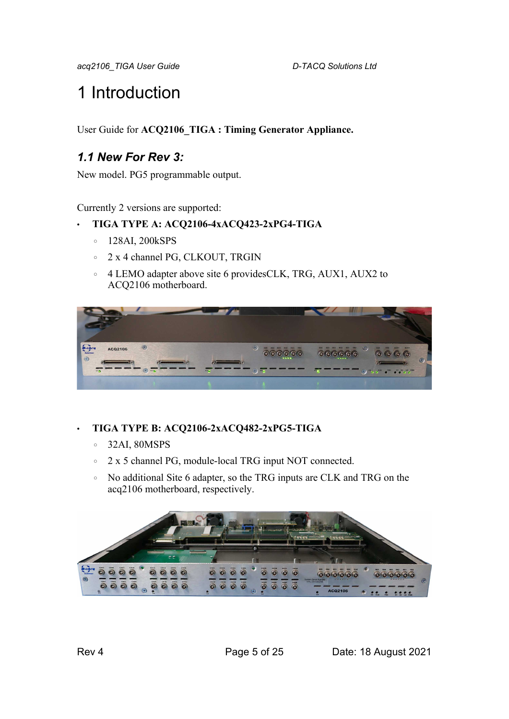# 1 Introduction

User Guide for **ACQ2106\_TIGA : Timing Generator Appliance.**

# *1.1 New For Rev 3:*

New model. PG5 programmable output.

Currently 2 versions are supported:

#### • **TIGA TYPE A: ACQ2106-4xACQ423-2xPG4-TIGA**

- 128AI, 200kSPS
- 2 x 4 channel PG, CLKOUT, TRGIN
- 4 LEMO adapter above site 6 providesCLK, TRG, AUX1, AUX2 to ACQ2106 motherboard.



### • **TIGA TYPE B: ACQ2106-2xACQ482-2xPG5-TIGA**

- 32AI, 80MSPS
- 2 x 5 channel PG, module-local TRG input NOT connected.
- No additional Site 6 adapter, so the TRG inputs are CLK and TRG on the acq2106 motherboard, respectively.

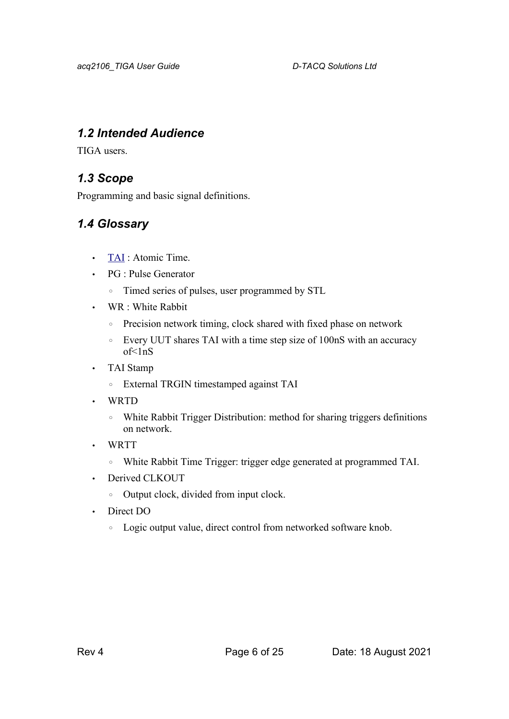## *1.2 Intended Audience*

TIGA users.

# *1.3 Scope*

Programming and basic signal definitions.

# *1.4 Glossary*

- • [TAI](https://www.timeanddate.com/time/international-atomic-time.html) : Atomic Time.
- PG : Pulse Generator
	- Timed series of pulses, user programmed by STL
- WR : White Rabbit
	- Precision network timing, clock shared with fixed phase on network
	- Every UUT shares TAI with a time step size of 100nS with an accuracy  $of <sub>1nS</sub>$
- TAI Stamp
	- External TRGIN timestamped against TAI
- WRTD
	- White Rabbit Trigger Distribution: method for sharing triggers definitions on network.
- WRTT
	- White Rabbit Time Trigger: trigger edge generated at programmed TAI.
- Derived CLKOUT
	- Output clock, divided from input clock.
- Direct DO
	- Logic output value, direct control from networked software knob.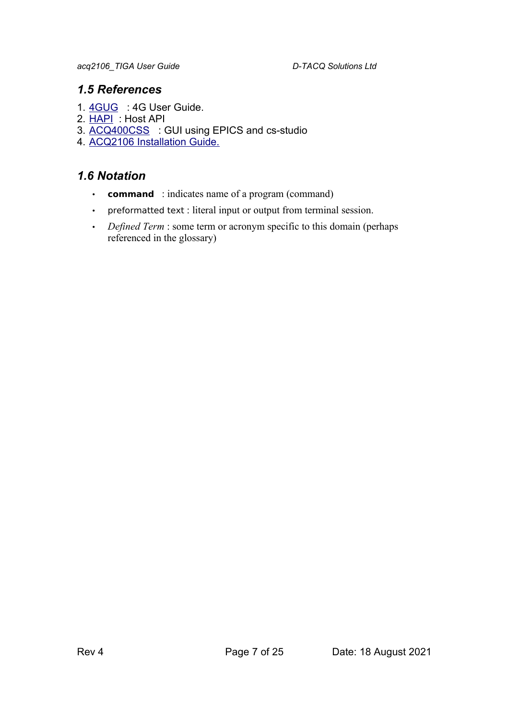### *1.5 References*

- 1. [4GUG](http://www.d-tacq.com/resources/d-tacq-4G-acq4xx-UserGuide-r31.pdf) : 4G User Guide.
- 2. [HAPI](https://github.com/D-TACQ/acq400_hapi) : Host API
- 3. [ACQ400CSS](https://github.com/D-TACQ/ACQ400CSS) : GUI using EPICS and cs-studio
- 4. [ACQ2106 Installation Guide.](http://www.d-tacq.com/resources/InstallationGuides/ACQ2106_Installation_Guide_Rev_2.pdf)

## *1.6 Notation*

- **command** : indicates name of a program (command)
- preformatted text : literal input or output from terminal session.
- *Defined Term* : some term or acronym specific to this domain (perhaps referenced in the glossary)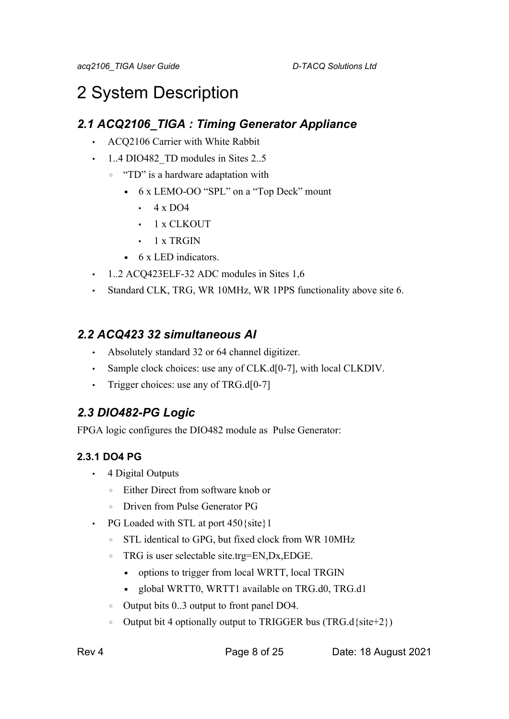# 2 System Description

# *2.1 ACQ2106\_TIGA : Timing Generator Appliance*

- ACQ2106 Carrier with White Rabbit
- 1.4 DIO482 TD modules in Sites 2..5
	- "TD" is a hardware adaptation with
		- 6 x LEMO-OO "SPL" on a "Top Deck" mount
			- $\cdot$  4 x DO4
			- 1 x CLKOUT
			- $\cdot$  1 x TRGIN
		- 6 x LED indicators.
- 1..2 ACQ423ELF-32 ADC modules in Sites 1,6
- Standard CLK, TRG, WR 10MHz, WR 1PPS functionality above site 6.

# *2.2 ACQ423 32 simultaneous AI*

- Absolutely standard 32 or 64 channel digitizer.
- Sample clock choices: use any of CLK.d[0-7], with local CLKDIV.
- Trigger choices: use any of TRG.d[0-7]

# *2.3 DIO482-PG Logic*

FPGA logic configures the DIO482 module as Pulse Generator:

# **2.3.1 DO4 PG**

- 4 Digital Outputs
	- Either Direct from software knob or
	- Driven from Pulse Generator PG
- PG Loaded with STL at port 450 {site } 1
	- STL identical to GPG, but fixed clock from WR 10MHz
	- TRG is user selectable site.trg=EN,Dx,EDGE.
		- options to trigger from local WRTT, local TRGIN
		- global WRTT0, WRTT1 available on TRG.d0, TRG.d1
	- Output bits 0..3 output to front panel DO4.
	- Output bit 4 optionally output to TRIGGER bus (TRG.d{site+2})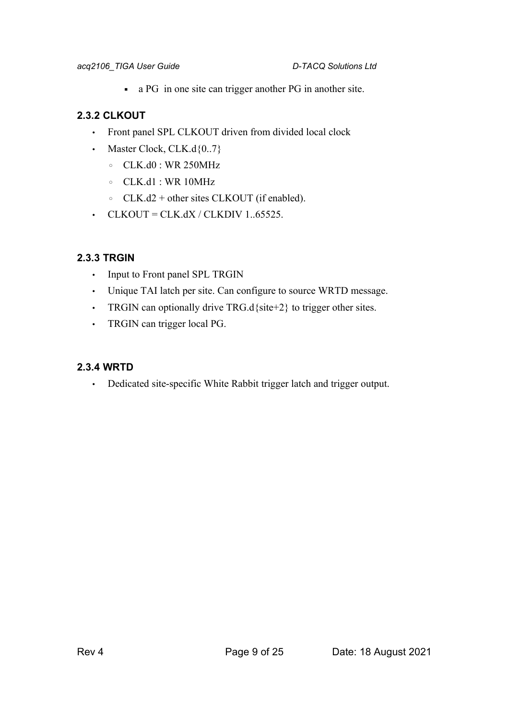▪ a PG in one site can trigger another PG in another site.

### **2.3.2 CLKOUT**

- Front panel SPL CLKOUT driven from divided local clock
- Master Clock,  $CLK.d\{0..7\}$ 
	- CLK.d0 : WR 250MHz
	- CLK.d1 : WR 10MHz
	- CLK.d2 + other sites CLKOUT (if enabled).
- $\cdot$  CLKOUT = CLK.dX / CLKDIV 1..65525.

### **2.3.3 TRGIN**

- Input to Front panel SPL TRGIN
- Unique TAI latch per site. Can configure to source WRTD message.
- TRGIN can optionally drive TRG.d{site+2} to trigger other sites.
- TRGIN can trigger local PG.

### **2.3.4 WRTD**

• Dedicated site-specific White Rabbit trigger latch and trigger output.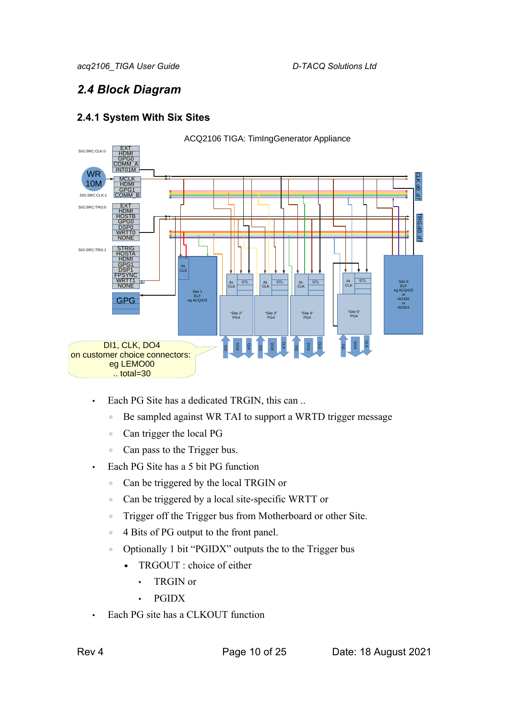# *2.4 Block Diagram*

### **2.4.1 System With Six Sites**



- Each PG Site has a dedicated TRGIN, this can ..
	- Be sampled against WR TAI to support a WRTD trigger message
	- Can trigger the local PG
	- Can pass to the Trigger bus.
- Each PG Site has a 5 bit PG function
	- Can be triggered by the local TRGIN or
	- Can be triggered by a local site-specific WRTT or
	- Trigger off the Trigger bus from Motherboard or other Site.
	- 4 Bits of PG output to the front panel.
	- Optionally 1 bit "PGIDX" outputs the to the Trigger bus
		- **•** TRGOUT : choice of either
			- TRGIN or
			- PGIDX
- Each PG site has a CLKOUT function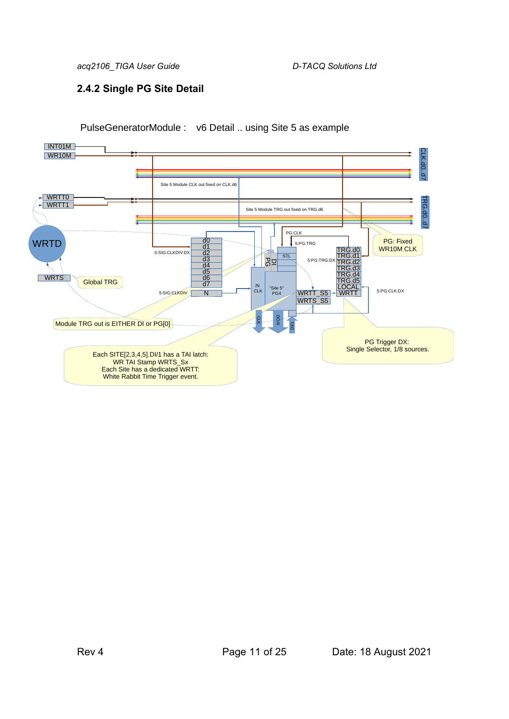### **2.4.2 Single PG Site Detail**



### PulseGeneratorModule : v6 Detail .. using Site 5 as example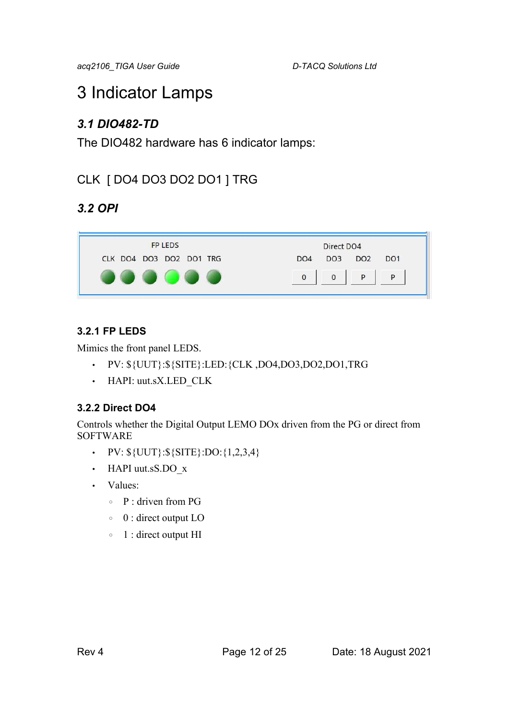# 3 Indicator Lamps

# *3.1 DIO482-TD*

The DIO482 hardware has 6 indicator lamps:

# CLK [ DO4 DO3 DO2 DO1 ] TRG

# *3.2 OPI*

| <b>FP LEDS</b>          | Direct DO4                                                               |
|-------------------------|--------------------------------------------------------------------------|
| CLK DO4 DO3 DO2 DO1 TRG | DO <sub>2</sub><br>DO <sub>1</sub><br>DO <sub>3</sub><br>DO <sub>4</sub> |
|                         | 0                                                                        |

# **3.2.1 FP LEDS**

Mimics the front panel LEDS.

- PV: \${UUT}:\${SITE}:LED:{CLK ,DO4,DO3,DO2,DO1,TRG
- HAPI: uut.sX.LED\_CLK

### **3.2.2 Direct DO4**

Controls whether the Digital Output LEMO DOx driven from the PG or direct from SOFTWARE

- PV:  $\{UUT\}:\$   $\{S \}$   $\{SITE\}$ :  $DO:\{1,2,3,4\}$
- HAPI uut.sS.DO\_x
- Values:
	- $\circ$  P · driven from PG
	- 0 : direct output LO
	- 1 : direct output HI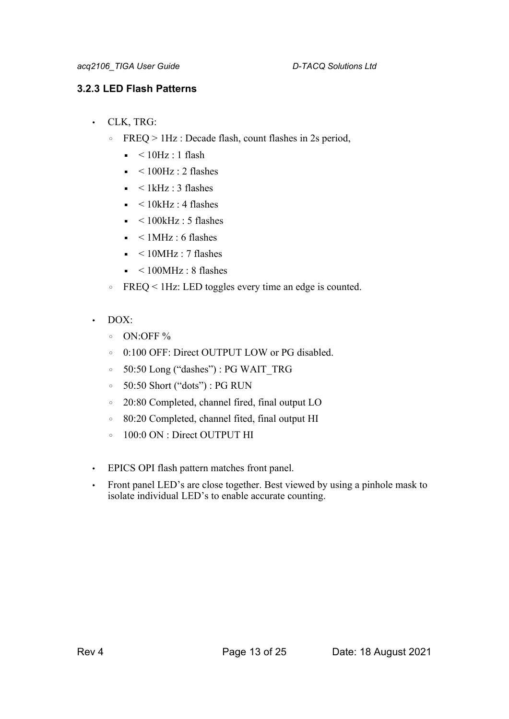### **3.2.3 LED Flash Patterns**

- CLK, TRG:
	- FREQ > 1Hz : Decade flash, count flashes in 2s period,
		- $\bullet$  < 10Hz : 1 flash
		- $\text{-}$  < 100Hz : 2 flashes
		- $\blacktriangleleft$  < 1kHz : 3 flashes
		- $\blacksquare$  < 10kHz : 4 flashes
		- $\approx$  < 100kHz : 5 flashes
		- $\blacksquare$  < 1 MHz : 6 flashes
		- $\sim 10$ MHz : 7 flashes
		- $\sim 100$ MHz : 8 flashes
	- FREQ < 1Hz: LED toggles every time an edge is counted.
- $\cdot$  DOX:
	- ON:OFF %
	- 0:100 OFF: Direct OUTPUT LOW or PG disabled.
	- 50:50 Long ("dashes") : PG WAIT\_TRG
	- 50:50 Short ("dots") : PG RUN
	- 20:80 Completed, channel fired, final output LO
	- 80:20 Completed, channel fited, final output HI
	- 100:0 ON : Direct OUTPUT HI
- EPICS OPI flash pattern matches front panel.
- Front panel LED's are close together. Best viewed by using a pinhole mask to isolate individual LED's to enable accurate counting.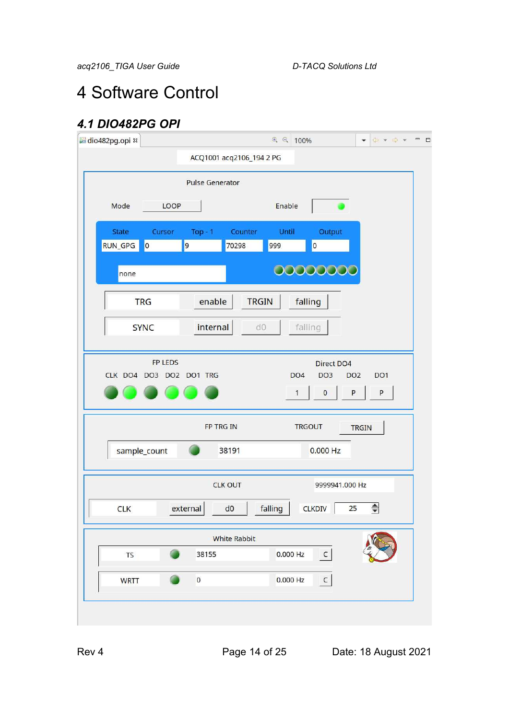# 4 Software Control

# *4.1 DIO482PG OPI*

| dio482pg.opi &                      |                                    |                          | $Q = 100\%$          |                                                                         | $\overline{\phantom{a}}$ |
|-------------------------------------|------------------------------------|--------------------------|----------------------|-------------------------------------------------------------------------|--------------------------|
|                                     |                                    | ACQ1001 acq2106_194 2 PG |                      |                                                                         |                          |
|                                     | <b>Pulse Generator</b>             |                          |                      |                                                                         |                          |
| Mode<br>u.                          | LOOP                               |                          | Enable               |                                                                         |                          |
| <b>State</b>                        | Cursor<br>Top $-1$                 | Counter                  | Until                | Output                                                                  |                          |
| $\overline{\phantom{a}}$<br>RUN_GPG | 9                                  | 70298                    | 999                  | $\overline{\mathbf{0}}$                                                 |                          |
| none                                |                                    |                          |                      | 00000000                                                                |                          |
| <b>TRG</b>                          | enable                             | <b>TRGIN</b>             |                      | falling                                                                 |                          |
| <b>SYNC</b>                         | internal                           | d0                       |                      | falling                                                                 |                          |
|                                     | FP LEDS<br>CLK DO4 DO3 DO2 DO1 TRG |                          | DO <sub>4</sub><br>1 | <b>Direct DO4</b><br>DO <sub>3</sub><br>DO <sub>2</sub><br>P<br>$\bf 0$ | DO <sub>1</sub><br>P     |
|                                     | FP TRG IN                          |                          |                      | <b>TRGOUT</b>                                                           | <b>TRGIN</b>             |
| sample_count                        |                                    | 38191                    |                      | 0.000 Hz                                                                |                          |
|                                     |                                    | <b>CLK OUT</b>           |                      | 9999941.000 Hz                                                          |                          |
| <b>CLK</b>                          | external                           | d <sub>0</sub>           | falling              | <b>CLKDIV</b><br>25                                                     | $\Rightarrow$            |
|                                     |                                    | <b>White Rabbit</b>      |                      |                                                                         |                          |
|                                     |                                    |                          |                      |                                                                         |                          |
| <b>TS</b>                           | 38155                              |                          | 0.000 Hz             | $\subset$                                                               |                          |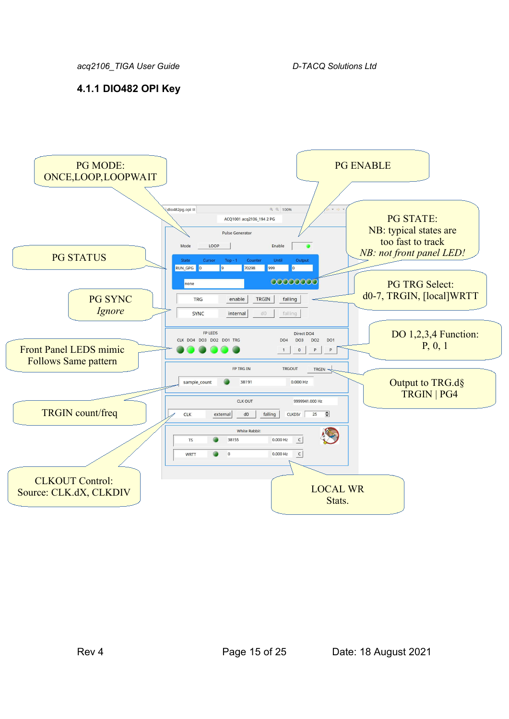### **4.1.1 DIO482 OPI Key**

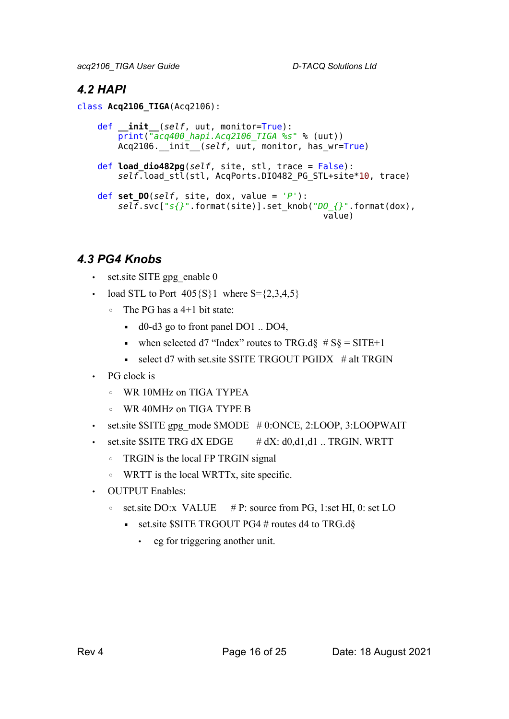# *4.2 HAPI*

class **Acq2106\_TIGA**(Acq2106):

```
 def __init__(self, uut, monitor=True):
     print("acq400_hapi.Acq2106_TIGA %s" % (uut))
   Acq2106. init (self, uut, monitor, has wr=True)
 def load_dio482pg(self, site, stl, trace = False):
     self.load_stl(stl, AcqPorts.DIO482_PG_STL+site*10, trace)
 def set_DO(self, site, dox, value = 'P'):
     self.svc["s{}".format(site)].set_knob("DO_{}".format(dox), 
                                             value)
```
# *4.3 PG4 Knobs*

- set.site SITE gpg\_enable 0
- load STL to Port  $405\{S\}1$  where S= $\{2,3,4,5\}$ 
	- The PG has a 4+1 bit state:
		- d0-d3 go to front panel DO1 .. DO4,
		- when selected d7 "Index" routes to TRG.d $\frac{1}{5}$  # S $\frac{1}{5}$  = SITE+1
		- $\bullet$  select d7 with set.site \$SITE TRGOUT PGIDX # alt TRGIN
- PG clock is
	- WR 10MHz on TIGA TYPEA
	- WR 40MHz on TIGA TYPE B
- set.site  $S$ SITE gpg\_mode  $$MODE$  # 0:ONCE, 2:LOOP, 3:LOOPWAIT
- set.site  $\text{SATE}$  TRG dX EDGE  $\#$  dX: d0,d1,d1 .. TRGIN, WRTT
	- TRGIN is the local FP TRGIN signal
	- WRTT is the local WRTTx, site specific.
- OUTPUT Enables:
	- set.site DO:x VALUE  $# P$ : source from PG, 1:set HI, 0: set LO
		- set.site  $S$ SITE TRGOUT PG4 # routes d4 to TRG.d $\S$ 
			- eg for triggering another unit.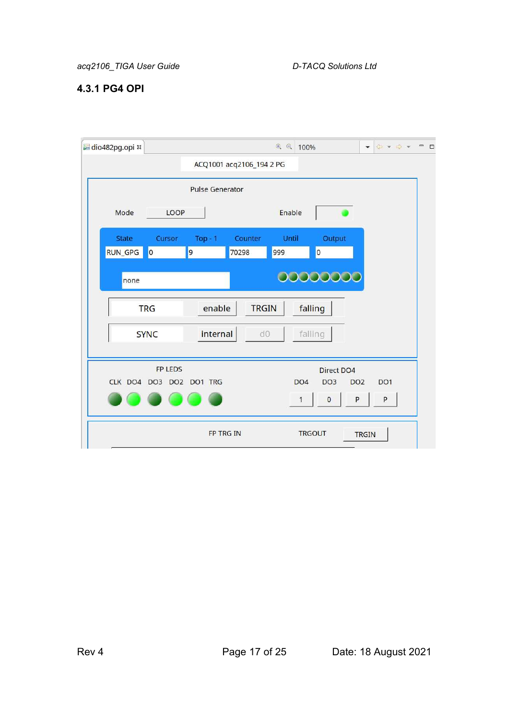### **4.3.1 PG4 OPI**

| dio482pg.opi & |                         |                         |                          | $\Theta$ $\Theta$<br>100% |                                    | $\circledcirc \bullet \bullet \bullet \bullet$<br>$\blacktriangledown$ | $\qquad \qquad \blacksquare$<br>$\Box$ |
|----------------|-------------------------|-------------------------|--------------------------|---------------------------|------------------------------------|------------------------------------------------------------------------|----------------------------------------|
|                |                         |                         | ACQ1001 acq2106_194 2 PG |                           |                                    |                                                                        |                                        |
|                |                         | <b>Pulse Generator</b>  |                          |                           |                                    |                                                                        |                                        |
| Mode           | LOOP                    |                         |                          | Enable                    |                                    |                                                                        |                                        |
| <b>State</b>   | Cursor                  | $Top - 1$               | Counter                  | Until                     | Output                             |                                                                        |                                        |
| RUN_GPG        | $\overline{\mathbf{0}}$ | 9                       | 70298                    | 999                       | $\overline{0}$                     |                                                                        |                                        |
| none           |                         |                         |                          |                           | 0000000                            |                                                                        |                                        |
|                | <b>TRG</b>              | enable                  | <b>TRGIN</b>             |                           | falling                            |                                                                        |                                        |
|                | <b>SYNC</b>             | internal                | d0                       |                           | falling                            |                                                                        |                                        |
|                | FP LEDS                 |                         |                          |                           | Direct DO4                         |                                                                        |                                        |
|                |                         | CLK DO4 DO3 DO2 DO1 TRG |                          | DO <sub>4</sub>           | DO <sub>3</sub><br>DO <sub>2</sub> | DO <sub>1</sub>                                                        |                                        |
|                |                         |                         |                          | 1                         | $\pmb{0}$<br>P                     | P                                                                      |                                        |
|                |                         | FP TRG IN               |                          |                           | <b>TRGOUT</b>                      | <b>TRGIN</b>                                                           |                                        |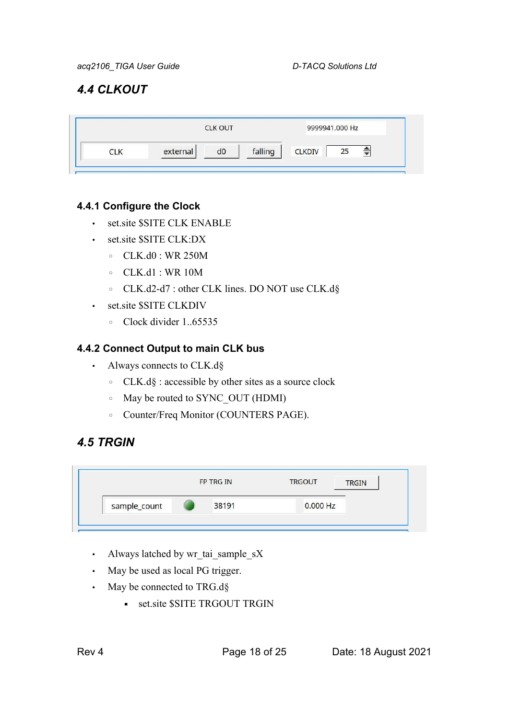# *4.4 CLKOUT*

|          | <b>CLK OUT</b> | 9999941.000 Hz |               |    |
|----------|----------------|----------------|---------------|----|
| external | dO             | falling        | <b>CLKDIV</b> | 25 |

### **4.4.1 Configure the Clock**

- set site \$SITE CLK ENABLE
- set.site \$SITE CLK:DX
	- CLK.d0 : WR 250M
	- CLK.d1 : WR 10M
	- CLK.d2-d7 : other CLK lines. DO NOT use CLK.d§
- set.site \$SITE CLKDIV
	- Clock divider 1..65535

### **4.4.2 Connect Output to main CLK bus**

- Always connects to CLK.d§
	- CLK.d§ : accessible by other sites as a source clock
	- May be routed to SYNC\_OUT (HDMI)
	- Counter/Freq Monitor (COUNTERS PAGE).

# *4.5 TRGIN*

|              | FP TRG IN | <b>TRGOUT</b> | <b>TRGIN</b> |
|--------------|-----------|---------------|--------------|
| sample_count | 38191     | $0.000$ Hz    |              |

- Always latched by wr\_tai\_sample\_sX
- May be used as local PG trigger.
- May be connected to TRG.d§
	- **•** set.site \$SITE TRGOUT TRGIN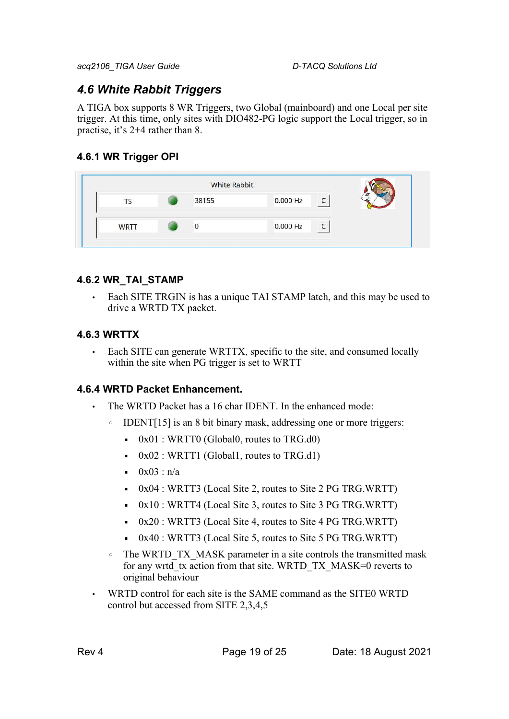# *4.6 White Rabbit Triggers*

A TIGA box supports 8 WR Triggers, two Global (mainboard) and one Local per site trigger. At this time, only sites with DIO482-PG logic support the Local trigger, so in practise, it's 2+4 rather than 8.

### **4.6.1 WR Trigger OPI**

|             | <b>White Rabbit</b> |          |  |
|-------------|---------------------|----------|--|
| 15          | 38155               | 0.000 Hz |  |
| <b>WRTT</b> |                     | 0.000 Hz |  |

### **4.6.2 WR\_TAI\_STAMP**

• Each SITE TRGIN is has a unique TAI STAMP latch, and this may be used to drive a WRTD TX packet.

### **4.6.3 WRTTX**

• Each SITE can generate WRTTX, specific to the site, and consumed locally within the site when PG trigger is set to WRTT

### **4.6.4 WRTD Packet Enhancement.**

- The WRTD Packet has a 16 char IDENT. In the enhanced mode:
	- IDENT[15] is an 8 bit binary mask, addressing one or more triggers:
		- $\bullet$  0x01 : WRTT0 (Global0, routes to TRG.d0)
		- $\bullet$  0x02 : WRTT1 (Global1, routes to TRG.d1)
		- $0x03 : n/a$
		- $\bullet$  0x04 : WRTT3 (Local Site 2, routes to Site 2 PG TRG.WRTT)
		- 0x10 : WRTT4 (Local Site 3, routes to Site 3 PG TRG.WRTT)
		- 0x20 : WRTT3 (Local Site 4, routes to Site 4 PG TRG.WRTT)
		- 0x40 : WRTT3 (Local Site 5, routes to Site 5 PG TRG.WRTT)
	- The WRTD\_TX\_MASK parameter in a site controls the transmitted mask for any wrtd tx action from that site. WRTD\_TX\_MASK=0 reverts to original behaviour
- WRTD control for each site is the SAME command as the SITE0 WRTD control but accessed from SITE 2,3,4,5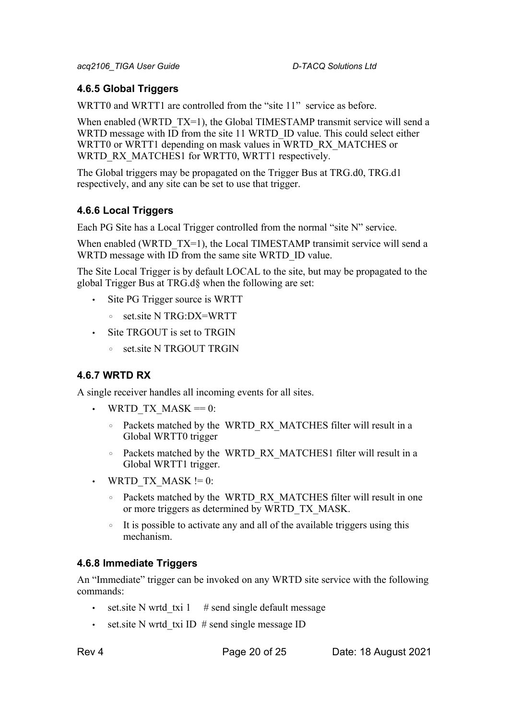### **4.6.5 Global Triggers**

WRTT0 and WRTT1 are controlled from the "site 11" service as before.

When enabled (WRTD TX=1), the Global TIMESTAMP transmit service will send a WRTD message with ID from the site 11 WRTD\_ID value. This could select either WRTT0 or WRTT1 depending on mask values in WRTD\_RX\_MATCHES or WRTD\_RX\_MATCHES1 for WRTT0, WRTT1 respectively.

The Global triggers may be propagated on the Trigger Bus at TRG.d0, TRG.d1 respectively, and any site can be set to use that trigger.

### **4.6.6 Local Triggers**

Each PG Site has a Local Trigger controlled from the normal "site N" service.

When enabled (WRTD  $TX=1$ ), the Local TIMESTAMP transimit service will send a WRTD message with ID from the same site WRTD\_ID value.

The Site Local Trigger is by default LOCAL to the site, but may be propagated to the global Trigger Bus at TRG.d§ when the following are set:

- Site PG Trigger source is WRTT
	- set.site N TRG:DX=WRTT
- Site TRGOUT is set to TRGIN
	- set.site N TRGOUT TRGIN

### **4.6.7 WRTD RX**

A single receiver handles all incoming events for all sites.

- WRTD TX MASK  $= 0$ :
	- Packets matched by the WRTD\_RX\_MATCHES filter will result in a Global WRTT0 trigger
	- Packets matched by the WRTD\_RX\_MATCHES1 filter will result in a Global WRTT1 trigger.
- WRTD TX MASK  $!= 0$ :
	- Packets matched by the WRTD\_RX\_MATCHES filter will result in one or more triggers as determined by WRTD\_TX\_MASK.
	- It is possible to activate any and all of the available triggers using this mechanism.

### **4.6.8 Immediate Triggers**

An "Immediate" trigger can be invoked on any WRTD site service with the following commands:

- set.site N wrtd txi 1  $\#$  send single default message
- set. site N wrtd txi ID  $#$  send single message ID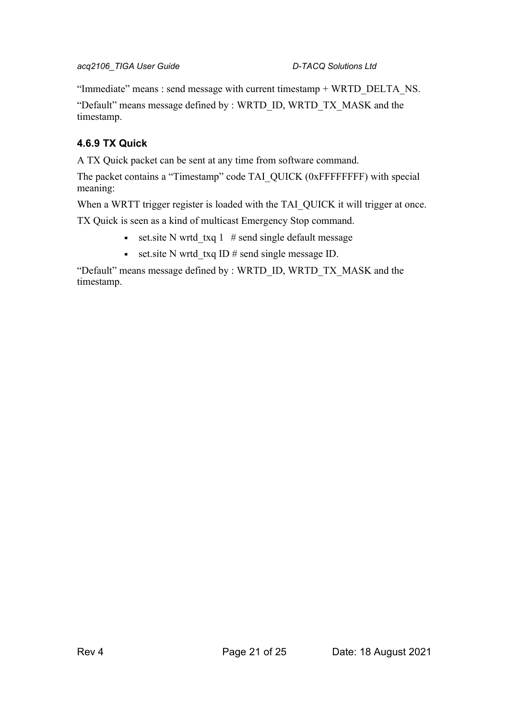"Immediate" means : send message with current timestamp + WRTD\_DELTA\_NS.

"Default" means message defined by : WRTD\_ID, WRTD\_TX\_MASK and the timestamp.

### **4.6.9 TX Quick**

A TX Quick packet can be sent at any time from software command.

The packet contains a "Timestamp" code TAI\_QUICK (0xFFFFFFFF) with special meaning:

When a WRTT trigger register is loaded with the TAI\_QUICK it will trigger at once.

TX Quick is seen as a kind of multicast Emergency Stop command.

- set.site N wrtd txq 1  $#$  send single default message
- **•** set.site N wrtd txq ID  $#$  send single message ID.

"Default" means message defined by : WRTD\_ID, WRTD\_TX\_MASK and the timestamp.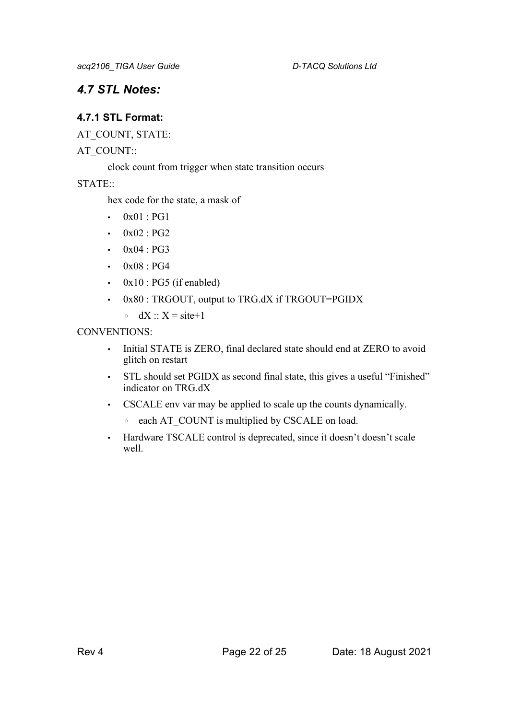# *4.7 STL Notes:*

### **4.7.1 STL Format:**

AT\_COUNT, STATE:

### AT\_COUNT::

clock count from trigger when state transition occurs

STATE::

hex code for the state, a mask of

- 0x01 : PG1
- $0x02 : PG2$
- $0x04 : PG3$
- 0x08 : PG4
- $0x10$ : PG5 (if enabled)
- 0x80 : TRGOUT, output to TRG.dX if TRGOUT=PGIDX
	- $\circ$  dX :: X = site+1

### CONVENTIONS:

- Initial STATE is ZERO, final declared state should end at ZERO to avoid glitch on restart
- STL should set PGIDX as second final state, this gives a useful "Finished" indicator on TRG.dX
- CSCALE env var may be applied to scale up the counts dynamically.
	- each AT\_COUNT is multiplied by CSCALE on load.
- Hardware TSCALE control is deprecated, since it doesn't doesn't scale well.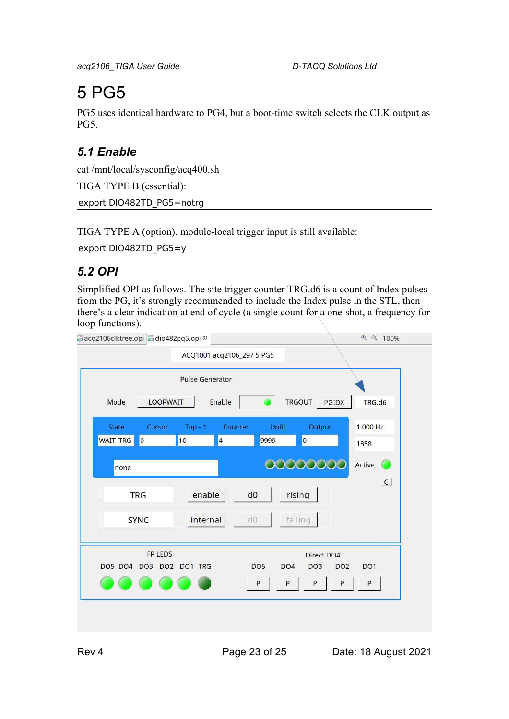# 5 PG5

PG5 uses identical hardware to PG4, but a boot-time switch selects the CLK output as PG5.

# *5.1 Enable*

cat /mnt/local/sysconfig/acq400.sh

TIGA TYPE B (essential):

export DIO482TD\_PG5=notrg

TIGA TYPE A (option), module-local trigger input is still available:

export DIO482TD\_PG5=y

# *5.2 OPI*

Simplified OPI as follows. The site trigger counter TRG.d6 is a count of Index pulses from the PG, it's strongly recommended to include the Index pulse in the STL, then there's a clear indication at end of cycle (a single count for a one-shot, a frequency for loop functions).

| acq2106clktree.opi @dio482pg5.opi &        |                               |                 |                                    |                 | $\bigoplus$<br>◎ 100% |
|--------------------------------------------|-------------------------------|-----------------|------------------------------------|-----------------|-----------------------|
|                                            | ACQ1001 acq2106_297 5 PG5     |                 |                                    |                 |                       |
|                                            | <b>Pulse Generator</b>        |                 |                                    |                 |                       |
| <b>LOOPWAIT</b><br>Mode                    | Enable                        |                 | <b>TRGOUT</b>                      | PGIDX           | TRG.d6                |
| <b>State</b><br>Cursor                     | $Top-1$                       | Counter         | Until                              | Output          | 1.000 Hz              |
| <b>WAIT_TRG</b><br>$\overline{\mathbf{0}}$ | 10<br>$\overline{\mathbf{4}}$ | 9999            | $\overline{\mathsf{o}}$            |                 | 1858                  |
| none                                       |                               |                 | 00000000                           |                 | Active                |
| <b>TRG</b>                                 | enable                        | d0              | rising                             |                 | $\overline{C}$        |
| <b>SYNC</b>                                | internal                      | d0              | falling                            |                 |                       |
| <b>FP LEDS</b>                             |                               |                 |                                    | Direct DO4      |                       |
| DO5 DO4 DO3 DO2 DO1 TRG                    |                               | DO <sub>5</sub> | DO <sub>4</sub><br>DO <sub>3</sub> | DO <sub>2</sub> | DO <sub>1</sub>       |
|                                            |                               | $\sf P$         | P<br>P                             | P               | $\sf P$               |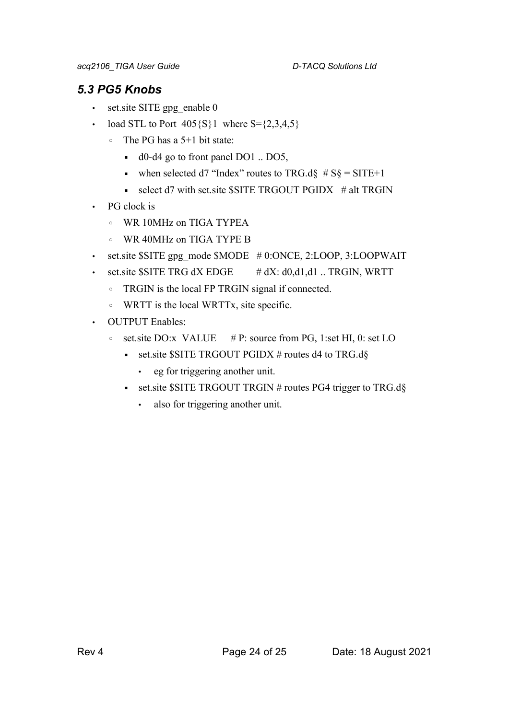# *5.3 PG5 Knobs*

- set.site SITE gpg\_enable 0
- load STL to Port  $405\{S\}1$  where  $S = \{2,3,4,5\}$ 
	- The PG has a 5+1 bit state:
		- d0-d4 go to front panel DO1 .. DO5,
		- when selected d7 "Index" routes to TRG.d $\S$  # S $\S$  = SITE+1
		- $\bullet$  select d7 with set.site \$SITE TRGOUT PGIDX  $\#$  alt TRGIN
- PG clock is
	- WR 10MHz on TIGA TYPEA
	- WR 40MHz on TIGA TYPE B
- set.site \$SITE gpg\_mode \$MODE #0:ONCE, 2:LOOP, 3:LOOPWAIT
- set.site  $S$ SITE TRG dX EDGE  $\#$  dX: d0,d1,d1 .. TRGIN, WRTT
	- TRGIN is the local FP TRGIN signal if connected.
	- WRTT is the local WRTTx, site specific.
- OUTPUT Enables:
	- set.site DO:x VALUE # P: source from PG, 1:set HI, 0: set LO
		- set.site  $\$SITE TRGOUT PGIDX # routes d4 to TRG.d§$ 
			- eg for triggering another unit.
		- set.site \$SITE TRGOUT TRGIN # routes PG4 trigger to TRG.d§
			- also for triggering another unit.